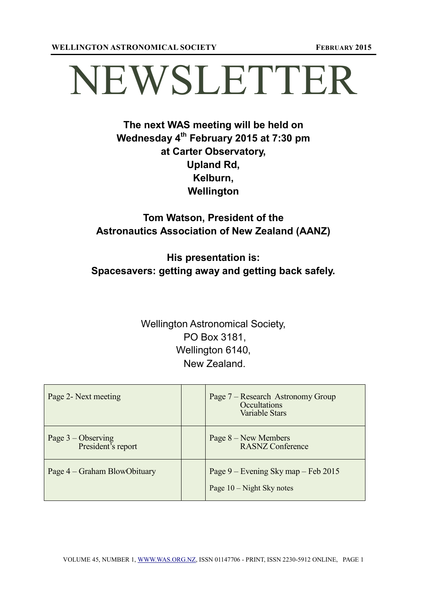# NEWSLETTER

# **The next WAS meeting will be held on Wednesday 4 th February 2015 at 7:30 pm at Carter Observatory, Upland Rd, Kelburn, Wellington**

# **Tom Watson, President of the Astronautics Association of New Zealand (AANZ)**

# **His presentation is: Spacesavers: getting away and getting back safely.**

# Wellington Astronomical Society, PO Box 3181, Wellington 6140, New Zealand.

| Page 2- Next meeting                       | Page 7 – Research Astronomy Group<br><b>Occultations</b><br><b>Variable Stars</b> |
|--------------------------------------------|-----------------------------------------------------------------------------------|
| Page $3$ – Observing<br>President's report | Page $8 - New Members$<br><b>RASNZ Conference</b>                                 |
| Page 4 – Graham BlowObituary               | Page 9 – Evening Sky map – Feb 2015<br>Page $10 -$ Night Sky notes                |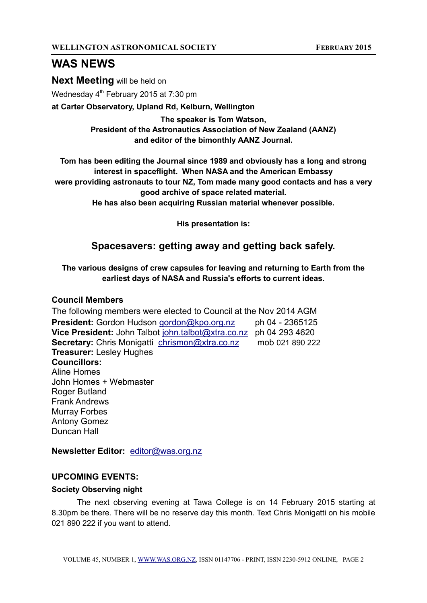## **WAS NEWS**

**Next Meeting** will be held on

Wednesday 4<sup>th</sup> February 2015 at 7:30 pm

**at Carter Observatory, Upland Rd, Kelburn, Wellington** 

**The speaker is Tom Watson, President of the Astronautics Association of New Zealand (AANZ) and editor of the bimonthly AANZ Journal.**

**Tom has been editing the Journal since 1989 and obviously has a long and strong interest in spaceflight. When NASA and the American Embassy were providing astronauts to tour NZ, Tom made many good contacts and has a very good archive of space related material.** 

**He has also been acquiring Russian material whenever possible.**

**His presentation is:**

## **Spacesavers: getting away and getting back safely.**

**The various designs of crew capsules for leaving and returning to Earth from the earliest days of NASA and Russia's efforts to current ideas.**

#### **Council Members**

The following members were elected to Council at the Nov 2014 AGM **President:** Gordon Hudson [gordon@kpo.org.nz](mailto:gordon@kpo.org.nz) ph 04 - 2365125 **Vice President:** John Talbot [john.talbot@xtra.co.nz](mailto:john.talbot@xtra.co.nz) ph 04 293 4620 **Secretary:** Chris Monigatti [chrismon@xtra.co.nz](mailto:chrismon@xtra.co.nz) mob 021 890 222 **Treasurer:** Lesley Hughes **Councillors:** Aline Homes John Homes + Webmaster Roger Butland Frank Andrews Murray Forbes Antony Gomez Duncan Hall

**Newsletter Editor:** [editor@was.org.nz](mailto:editor@was.org.nz)

### **UPCOMING EVENTS:**

#### **Society Observing night**

The next observing evening at Tawa College is on 14 February 2015 starting at 8.30pm be there. There will be no reserve day this month. Text Chris Monigatti on his mobile 021 890 222 if you want to attend.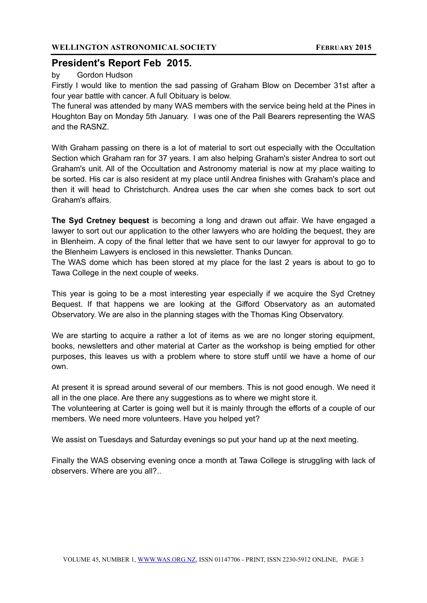## **President's Report Feb 2015.**

#### by Gordon Hudson

Firstly I would like to mention the sad passing of Graham Blow on December 31st after a four year battle with cancer. A full Obituary is below.

The funeral was attended by many WAS members with the service being held at the Pines in Houghton Bay on Monday 5th January. I was one of the Pall Bearers representing the WAS and the RASNZ.

With Graham passing on there is a lot of material to sort out especially with the Occultation Section which Graham ran for 37 years. I am also helping Graham's sister Andrea to sort out Graham's unit. All of the Occultation and Astronomy material is now at my place waiting to be sorted. His car is also resident at my place until Andrea finishes with Graham's place and then it will head to Christchurch. Andrea uses the car when she comes back to sort out Graham's affairs.

**The Syd Cretney bequest** is becoming a long and drawn out affair. We have engaged a lawyer to sort out our application to the other lawyers who are holding the bequest, they are in Blenheim. A copy of the final letter that we have sent to our lawyer for approval to go to the Blenheim Lawyers is enclosed in this newsletter. Thanks Duncan.

The WAS dome which has been stored at my place for the last 2 years is about to go to Tawa College in the next couple of weeks.

This year is going to be a most interesting year especially if we acquire the Syd Cretney Bequest. If that happens we are looking at the Gifford Observatory as an automated Observatory. We are also in the planning stages with the Thomas King Observatory.

We are starting to acquire a rather a lot of items as we are no longer storing equipment, books, newsletters and other material at Carter as the workshop is being emptied for other purposes, this leaves us with a problem where to store stuff until we have a home of our own.

At present it is spread around several of our members. This is not good enough. We need it all in the one place. Are there any suggestions as to where we might store it.

The volunteering at Carter is going well but it is mainly through the efforts of a couple of our members. We need more volunteers. Have you helped yet?

We assist on Tuesdays and Saturday evenings so put your hand up at the next meeting.

Finally the WAS observing evening once a month at Tawa College is struggling with lack of observers. Where are you all?..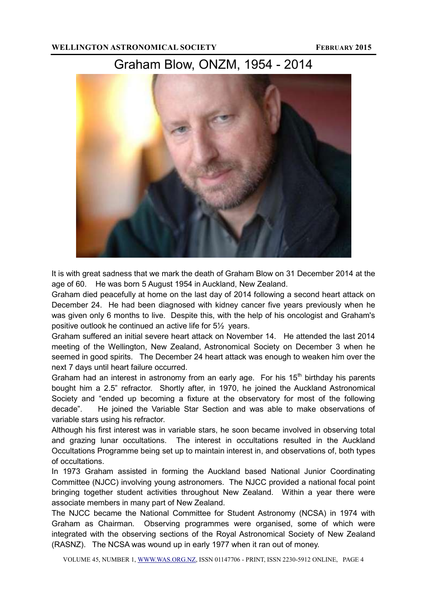# Graham Blow, ONZM, 1954 - 2014



It is with great sadness that we mark the death of Graham Blow on 31 December 2014 at the age of 60. He was born 5 August 1954 in Auckland, New Zealand.

Graham died peacefully at home on the last day of 2014 following a second heart attack on December 24. He had been diagnosed with kidney cancer five years previously when he was given only 6 months to live. Despite this, with the help of his oncologist and Graham's positive outlook he continued an active life for 5½ years.

Graham suffered an initial severe heart attack on November 14. He attended the last 2014 meeting of the Wellington, New Zealand, Astronomical Society on December 3 when he seemed in good spirits. The December 24 heart attack was enough to weaken him over the next 7 days until heart failure occurred.

Graham had an interest in astronomy from an early age. For his  $15<sup>th</sup>$  birthday his parents bought him a 2.5" refractor. Shortly after, in 1970, he joined the Auckland Astronomical Society and "ended up becoming a fixture at the observatory for most of the following decade". He joined the Variable Star Section and was able to make observations of variable stars using his refractor.

Although his first interest was in variable stars, he soon became involved in observing total and grazing lunar occultations. The interest in occultations resulted in the Auckland Occultations Programme being set up to maintain interest in, and observations of, both types of occultations.

In 1973 Graham assisted in forming the Auckland based National Junior Coordinating Committee (NJCC) involving young astronomers. The NJCC provided a national focal point bringing together student activities throughout New Zealand. Within a year there were associate members in many part of New Zealand.

The NJCC became the National Committee for Student Astronomy (NCSA) in 1974 with Graham as Chairman. Observing programmes were organised, some of which were integrated with the observing sections of the Royal Astronomical Society of New Zealand (RASNZ). The NCSA was wound up in early 1977 when it ran out of money.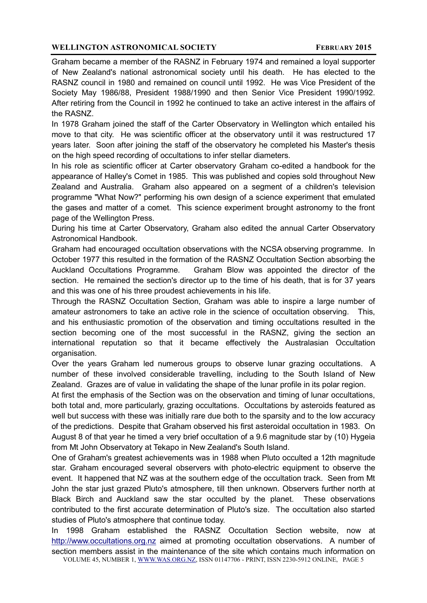Graham became a member of the RASNZ in February 1974 and remained a loyal supporter of New Zealand's national astronomical society until his death. He has elected to the RASNZ council in 1980 and remained on council until 1992. He was Vice President of the Society May 1986/88, President 1988/1990 and then Senior Vice President 1990/1992. After retiring from the Council in 1992 he continued to take an active interest in the affairs of the RASNZ.

In 1978 Graham joined the staff of the Carter Observatory in Wellington which entailed his move to that city. He was scientific officer at the observatory until it was restructured 17 years later. Soon after joining the staff of the observatory he completed his Master's thesis on the high speed recording of occultations to infer stellar diameters.

In his role as scientific officer at Carter observatory Graham co-edited a handbook for the appearance of Halley's Comet in 1985. This was published and copies sold throughout New Zealand and Australia. Graham also appeared on a segment of a children's television programme "What Now?" performing his own design of a science experiment that emulated the gases and matter of a comet. This science experiment brought astronomy to the front page of the Wellington Press.

During his time at Carter Observatory, Graham also edited the annual Carter Observatory Astronomical Handbook.

Graham had encouraged occultation observations with the NCSA observing programme. In October 1977 this resulted in the formation of the RASNZ Occultation Section absorbing the Auckland Occultations Programme. Graham Blow was appointed the director of the section. He remained the section's director up to the time of his death, that is for 37 years and this was one of his three proudest achievements in his life.

Through the RASNZ Occultation Section, Graham was able to inspire a large number of amateur astronomers to take an active role in the science of occultation observing. This, and his enthusiastic promotion of the observation and timing occultations resulted in the section becoming one of the most successful in the RASNZ, giving the section an international reputation so that it became effectively the Australasian Occultation organisation.

Over the years Graham led numerous groups to observe lunar grazing occultations. A number of these involved considerable travelling, including to the South Island of New Zealand. Grazes are of value in validating the shape of the lunar profile in its polar region.

At first the emphasis of the Section was on the observation and timing of lunar occultations, both total and, more particularly, grazing occultations. Occultations by asteroids featured as well but success with these was initially rare due both to the sparsity and to the low accuracy of the predictions. Despite that Graham observed his first asteroidal occultation in 1983. On August 8 of that year he timed a very brief occultation of a 9.6 magnitude star by (10) Hygeia from Mt John Observatory at Tekapo in New Zealand's South Island.

One of Graham's greatest achievements was in 1988 when Pluto occulted a 12th magnitude star. Graham encouraged several observers with photo-electric equipment to observe the event. It happened that NZ was at the southern edge of the occultation track. Seen from Mt John the star just grazed Pluto's atmosphere, till then unknown. Observers further north at Black Birch and Auckland saw the star occulted by the planet. These observations contributed to the first accurate determination of Pluto's size. The occultation also started studies of Pluto's atmosphere that continue today.

In 1998 Graham established the RASNZ Occultation Section website, now at [http://www.occultations.org.nz](http://www.occultations.org.nz/) aimed at promoting occultation observations. A number of section members assist in the maintenance of the site which contains much information on

VOLUME 45, NUMBER 1, [WWW.WAS.ORG.NZ,](http://www.was.org.nz/#_blank) ISSN 01147706 - PRINT, ISSN 2230-5912 ONLINE, PAGE 5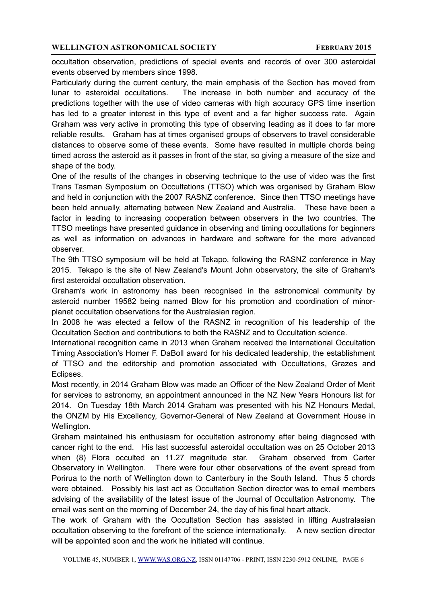occultation observation, predictions of special events and records of over 300 asteroidal events observed by members since 1998.

Particularly during the current century, the main emphasis of the Section has moved from lunar to asteroidal occultations. The increase in both number and accuracy of the predictions together with the use of video cameras with high accuracy GPS time insertion has led to a greater interest in this type of event and a far higher success rate. Again Graham was very active in promoting this type of observing leading as it does to far more reliable results. Graham has at times organised groups of observers to travel considerable distances to observe some of these events. Some have resulted in multiple chords being timed across the asteroid as it passes in front of the star, so giving a measure of the size and shape of the body.

One of the results of the changes in observing technique to the use of video was the first Trans Tasman Symposium on Occultations (TTSO) which was organised by Graham Blow and held in conjunction with the 2007 RASNZ conference. Since then TTSO meetings have been held annually, alternating between New Zealand and Australia. These have been a factor in leading to increasing cooperation between observers in the two countries. The TTSO meetings have presented guidance in observing and timing occultations for beginners as well as information on advances in hardware and software for the more advanced observer.

The 9th TTSO symposium will be held at Tekapo, following the RASNZ conference in May 2015. Tekapo is the site of New Zealand's Mount John observatory, the site of Graham's first asteroidal occultation observation.

Graham's work in astronomy has been recognised in the astronomical community by asteroid number 19582 being named Blow for his promotion and coordination of minorplanet occultation observations for the Australasian region.

In 2008 he was elected a fellow of the RASNZ in recognition of his leadership of the Occultation Section and contributions to both the RASNZ and to Occultation science.

International recognition came in 2013 when Graham received the International Occultation Timing Association's Homer F. DaBoll award for his dedicated leadership, the establishment of TTSO and the editorship and promotion associated with Occultations, Grazes and Eclipses.

Most recently, in 2014 Graham Blow was made an Officer of the New Zealand Order of Merit for services to astronomy, an appointment announced in the NZ New Years Honours list for 2014. On Tuesday 18th March 2014 Graham was presented with his NZ Honours Medal, the ONZM by His Excellency, Governor-General of New Zealand at Government House in Wellington.

Graham maintained his enthusiasm for occultation astronomy after being diagnosed with cancer right to the end. His last successful asteroidal occultation was on 25 October 2013 when (8) Flora occulted an 11.27 magnitude star. Graham observed from Carter Observatory in Wellington. There were four other observations of the event spread from Porirua to the north of Wellington down to Canterbury in the South Island. Thus 5 chords were obtained. Possibly his last act as Occultation Section director was to email members advising of the availability of the latest issue of the Journal of Occultation Astronomy. The email was sent on the morning of December 24, the day of his final heart attack.

The work of Graham with the Occultation Section has assisted in lifting Australasian occultation observing to the forefront of the science internationally. A new section director will be appointed soon and the work he initiated will continue.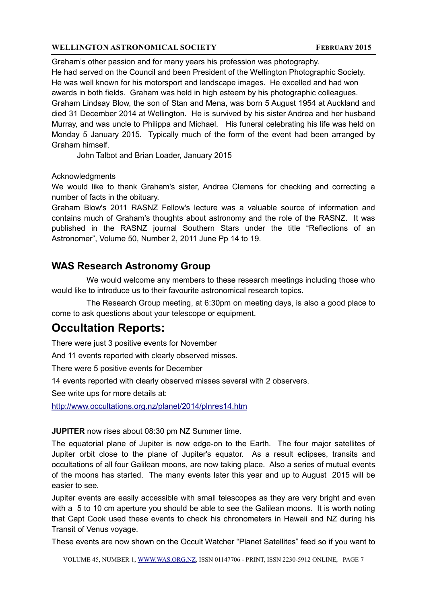Graham's other passion and for many years his profession was photography. He had served on the Council and been President of the Wellington Photographic Society. He was well known for his motorsport and landscape images. He excelled and had won awards in both fields. Graham was held in high esteem by his photographic colleagues. Graham Lindsay Blow, the son of Stan and Mena, was born 5 August 1954 at Auckland and died 31 December 2014 at Wellington. He is survived by his sister Andrea and her husband Murray, and was uncle to Philippa and Michael. His funeral celebrating his life was held on Monday 5 January 2015. Typically much of the form of the event had been arranged by Graham himself.

John Talbot and Brian Loader, January 2015

#### Acknowledgments

We would like to thank Graham's sister, Andrea Clemens for checking and correcting a number of facts in the obituary.

Graham Blow's 2011 RASNZ Fellow's lecture was a valuable source of information and contains much of Graham's thoughts about astronomy and the role of the RASNZ. It was published in the RASNZ journal Southern Stars under the title "Reflections of an Astronomer", Volume 50, Number 2, 2011 June Pp 14 to 19.

## **WAS Research Astronomy Group**

 We would welcome any members to these research meetings including those who would like to introduce us to their favourite astronomical research topics.

 The Research Group meeting, at 6:30pm on meeting days, is also a good place to come to ask questions about your telescope or equipment.

## **Occultation Reports:**

There were just 3 positive events for November

And 11 events reported with clearly observed misses.

There were 5 positive events for December

14 events reported with clearly observed misses several with 2 observers.

See write ups for more details at:

<http://www.occultations.org.nz/planet/2014/plnres14.htm>

#### **JUPITER** now rises about 08:30 pm NZ Summer time.

The equatorial plane of Jupiter is now edge-on to the Earth. The four major satellites of Jupiter orbit close to the plane of Jupiter's equator. As a result eclipses, transits and occultations of all four Galilean moons, are now taking place. Also a series of mutual events of the moons has started. The many events later this year and up to August 2015 will be easier to see.

Jupiter events are easily accessible with small telescopes as they are very bright and even with a 5 to 10 cm aperture you should be able to see the Galilean moons. It is worth noting that Capt Cook used these events to check his chronometers in Hawaii and NZ during his Transit of Venus voyage.

These events are now shown on the Occult Watcher "Planet Satellites" feed so if you want to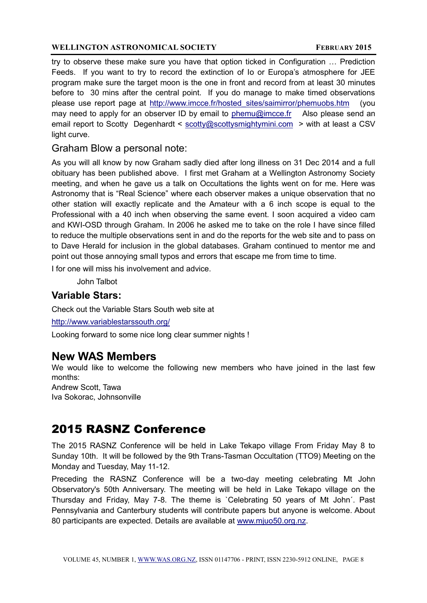try to observe these make sure you have that option ticked in Configuration … Prediction Feeds. If you want to try to record the extinction of Io or Europa's atmosphere for JEE program make sure the target moon is the one in front and record from at least 30 minutes before to 30 mins after the central point. If you do manage to make timed observations please use report page at [http://www.imcce.fr/hosted\\_sites/saimirror/phemuobs.htm](http://www.imcce.fr/hosted_sites/saimirror/phemuobs.htm) (you may need to apply for an observer ID by email to [phemu@imcce.fr](mailto:phemu@imcce.fr) Also please send an email report to Scotty Degenhardt < [scotty@scottysmightymini.com](mailto:scotty@scottysmightymini.com) > with at least a CSV light curve.

## Graham Blow a personal note:

As you will all know by now Graham sadly died after long illness on 31 Dec 2014 and a full obituary has been published above. I first met Graham at a Wellington Astronomy Society meeting, and when he gave us a talk on Occultations the lights went on for me. Here was Astronomy that is "Real Science" where each observer makes a unique observation that no other station will exactly replicate and the Amateur with a 6 inch scope is equal to the Professional with a 40 inch when observing the same event. I soon acquired a video cam and KWI-OSD through Graham. In 2006 he asked me to take on the role I have since filled to reduce the multiple observations sent in and do the reports for the web site and to pass on to Dave Herald for inclusion in the global databases. Graham continued to mentor me and point out those annoying small typos and errors that escape me from time to time.

I for one will miss his involvement and advice.

John Talbot

## **Variable Stars:**

Check out the Variable Stars South web site at

<http://www.variablestarssouth.org/>

Looking forward to some nice long clear summer nights !

## **New WAS Members**

We would like to welcome the following new members who have joined in the last few months: Andrew Scott, Tawa Iva Sokorac, Johnsonville

# 2015 RASNZ Conference

The 2015 RASNZ Conference will be held in Lake Tekapo village From Friday May 8 to Sunday 10th. It will be followed by the 9th Trans-Tasman Occultation (TTO9) Meeting on the Monday and Tuesday, May 11-12.

Preceding the RASNZ Conference will be a two-day meeting celebrating Mt John Observatory's 50th Anniversary. The meeting will be held in Lake Tekapo village on the Thursday and Friday, May 7-8. The theme is `Celebrating 50 years of Mt John´. Past Pennsylvania and Canterbury students will contribute papers but anyone is welcome. About 80 participants are expected. Details are available at [www.mjuo50.org.nz.](http://www.mjuo50.org.nz/)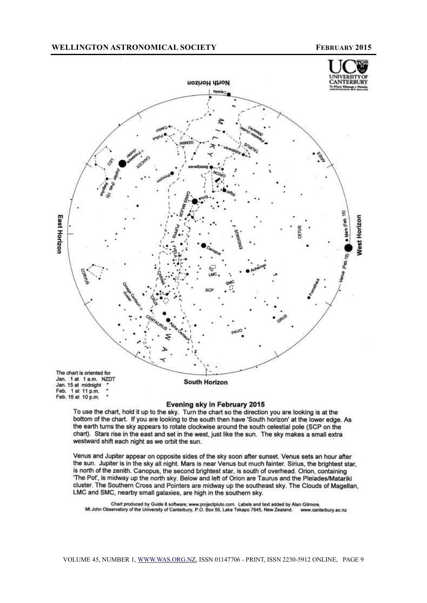

Evening sky in February 2015

To use the chart, hold it up to the sky. Turn the chart so the direction you are looking is at the bottom of the chart. If you are looking to the south then have 'South horizon' at the lower edge. As the earth turns the sky appears to rotate clockwise around the south celestial pole (SCP on the chart). Stars rise in the east and set in the west, just like the sun. The sky makes a small extra westward shift each night as we orbit the sun.

Venus and Jupiter appear on opposite sides of the sky soon after sunset. Venus sets an hour after the sun. Jupiter is in the sky all night. Mars is near Venus but much fainter. Sirius, the brightest star, is north of the zenith. Canopus, the second brightest star, is south of overhead. Orion, containing 'The Pot', is midway up the north sky. Below and left of Orion are Taurus and the Pleiades/Matariki cluster. The Southern Cross and Pointers are midway up the southeast sky. The Clouds of Magellan, LMC and SMC, nearby small galaxies, are high in the southern sky.

Chart produced by Guide 8 software; www.projectpluto.com. Labels and text added by Alan Gilmore,<br>Mt John Observatory of the University of Canterbury, P.O. Box 56, Lake Tekapo 7945, New Zealand. www.cant www.canterbury.ac.nz